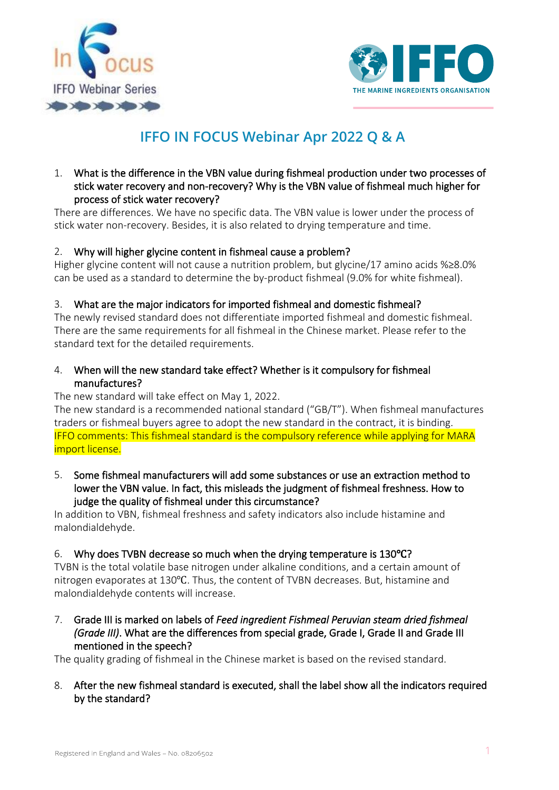



# **IFFO IN FOCUS Webinar Apr 2022 Q & A**

# 1. What is the difference in the VBN value during fishmeal production under two processes of stick water recovery and non-recovery? Why is the VBN value of fishmeal much higher for process of stick water recovery?

There are differences. We have no specific data. The VBN value is lower under the process of stick water non-recovery. Besides, it is also related to drying temperature and time.

# 2. Why will higher glycine content in fishmeal cause a problem?

Higher glycine content will not cause a nutrition problem, but glycine/17 amino acids %≥8.0% can be used as a standard to determine the by-product fishmeal (9.0% for white fishmeal).

# 3. What are the major indicators for imported fishmeal and domestic fishmeal?

The newly revised standard does not differentiate imported fishmeal and domestic fishmeal. There are the same requirements for all fishmeal in the Chinese market. Please refer to the standard text for the detailed requirements.

# 4. When will the new standard take effect? Whether is it compulsory for fishmeal manufactures?

#### The new standard will take effect on May 1, 2022.

The new standard is a recommended national standard ("GB/T"). When fishmeal manufactures traders or fishmeal buyers agree to adopt the new standard in the contract, it is binding. IFFO comments: This fishmeal standard is the compulsory reference while applying for MARA import license.

### 5. Some fishmeal manufacturers will add some substances or use an extraction method to lower the VBN value. In fact, this misleads the judgment of fishmeal freshness. How to judge the quality of fishmeal under this circumstance?

In addition to VBN, fishmeal freshness and safety indicators also include histamine and malondialdehyde.

#### 6. Why does TVBN decrease so much when the drying temperature is 130℃?

TVBN is the total volatile base nitrogen under alkaline conditions, and a certain amount of nitrogen evaporates at 130℃. Thus, the content of TVBN decreases. But, histamine and malondialdehyde contents will increase.

7. Grade III is marked on labels of *Feed ingredient Fishmeal Peruvian steam dried fishmeal (Grade III)*. What are the differences from special grade, Grade I, Grade II and Grade III mentioned in the speech?

The quality grading of fishmeal in the Chinese market is based on the revised standard.

# 8. After the new fishmeal standard is executed, shall the label show all the indicators required by the standard?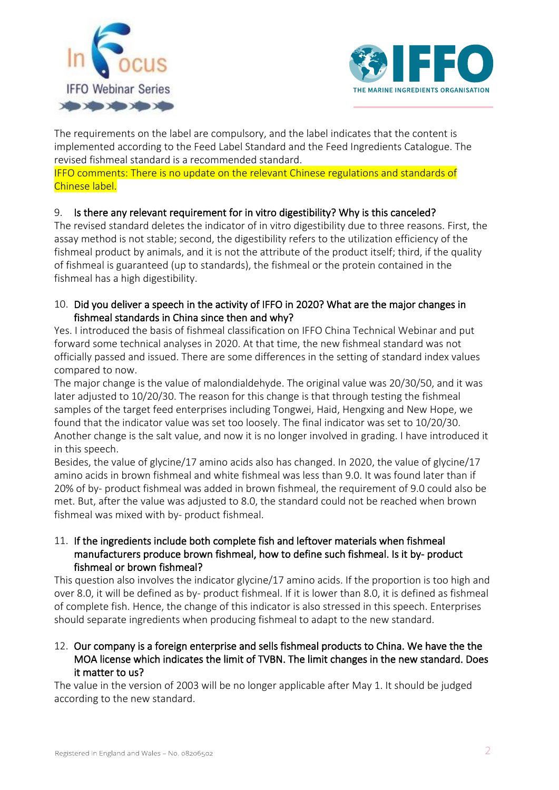



The requirements on the label are compulsory, and the label indicates that the content is implemented according to the Feed Label Standard and the Feed Ingredients Catalogue. The revised fishmeal standard is a recommended standard.

IFFO comments: There is no update on the relevant Chinese regulations and standards of Chinese label.

# 9. Is there any relevant requirement for in vitro digestibility? Why is this canceled?

The revised standard deletes the indicator of in vitro digestibility due to three reasons. First, the assay method is not stable; second, the digestibility refers to the utilization efficiency of the fishmeal product by animals, and it is not the attribute of the product itself; third, if the quality of fishmeal is guaranteed (up to standards), the fishmeal or the protein contained in the fishmeal has a high digestibility.

10. Did you deliver a speech in the activity of IFFO in 2020? What are the major changes in fishmeal standards in China since then and why?

Yes. I introduced the basis of fishmeal classification on IFFO China Technical Webinar and put forward some technical analyses in 2020. At that time, the new fishmeal standard was not officially passed and issued. There are some differences in the setting of standard index values compared to now.

The major change is the value of malondialdehyde. The original value was 20/30/50, and it was later adjusted to 10/20/30. The reason for this change is that through testing the fishmeal samples of the target feed enterprises including Tongwei, Haid, Hengxing and New Hope, we found that the indicator value was set too loosely. The final indicator was set to 10/20/30. Another change is the salt value, and now it is no longer involved in grading. I have introduced it in this speech.

Besides, the value of glycine/17 amino acids also has changed. In 2020, the value of glycine/17 amino acids in brown fishmeal and white fishmeal was less than 9.0. It was found later than if 20% of by- product fishmeal was added in brown fishmeal, the requirement of 9.0 could also be met. But, after the value was adjusted to 8.0, the standard could not be reached when brown fishmeal was mixed with by- product fishmeal.

# 11. If the ingredients include both complete fish and leftover materials when fishmeal manufacturers produce brown fishmeal, how to define such fishmeal. Is it by- product fishmeal or brown fishmeal?

This question also involves the indicator glycine/17 amino acids. If the proportion is too high and over 8.0, it will be defined as by- product fishmeal. If it is lower than 8.0, it is defined as fishmeal of complete fish. Hence, the change of this indicator is also stressed in this speech. Enterprises should separate ingredients when producing fishmeal to adapt to the new standard.

12. Our company is a foreign enterprise and sells fishmeal products to China. We have the the MOA license which indicates the limit of TVBN. The limit changes in the new standard. Does it matter to us?

The value in the version of 2003 will be no longer applicable after May 1. It should be judged according to the new standard.